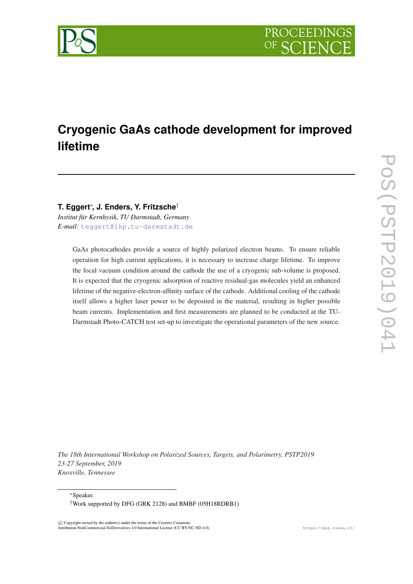

# **Cryogenic GaAs cathode development for improved lifetime**

**T. Eggert**<sup>∗</sup> **, J. Enders, Y. Fritzsche**†

*Institut für Kernhysik, TU Darmstadt, Germany E-mail:* [teggert@ikp.tu-darmstadt.de](mailto:teggert@ikp.tu-darmstadt.de)

> GaAs photocathodes provide a source of highly polarized electron beams. To ensure reliable operation for high current applications, it is necessary to increase charge lifetime. To improve the local vacuum condition around the cathode the use of a cryogenic sub-volume is proposed. It is expected that the cryogenic adsorption of reactive residual-gas molecules yield an enhanced lifetime of the negative-electron-affinity surface of the cathode. Additional cooling of the cathode itself allows a higher laser power to be deposited in the material, resulting in higher possible beam currents. Implementation and first measurements are planned to be conducted at the TU-Darmstadt Photo-CATCH test set-up to investigate the operational parameters of the new source.

*The 18th International Workshop on Polarized Sources, Targets, and Polarimetry, PSTP2019 23-27 September, 2019 Knoxville, Tennessee*

<sup>∗</sup>Speaker.

 $\overline{c}$  Copyright owned by the author(s) under the terms of the Creative Common Attribution-NonCommercial-NoDerivatives 4.0 International License (CC BY-NC-ND 4.0). https://pos.sissa.it/

<sup>†</sup>Work supported by DFG (GRK 2128) and BMBF (05H18RDRB1)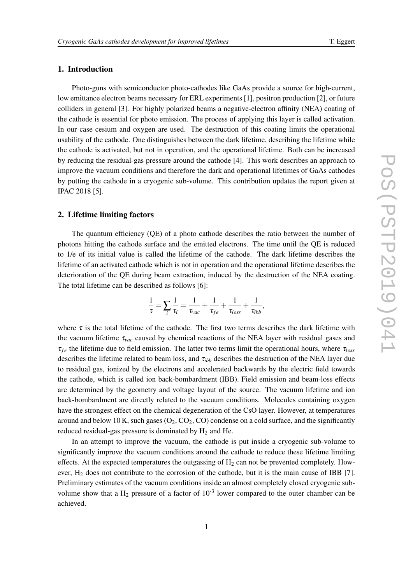#### 1. Introduction

Photo-guns with semiconductor photo-cathodes like GaAs provide a source for high-current, low emittance electron beams necessary for ERL experiments [1], positron production [2], or future colliders in general [3]. For highly polarized beams a negative-electron affinity (NEA) coating of the cathode is essential for photo emission. The process of applying this layer is called activation. In our case cesium and oxygen are used. The destruction of this coating limits the operational usability of the cathode. One distinguishes between the dark lifetime, describing the lifetime while the cathode is activated, but not in operation, and the operational lifetime. Both can be increased by reducing the residual-gas pressure around the cathode [4]. This work describes an approach to improve the vacuum conditions and therefore the dark and operational lifetimes of GaAs cathodes by putting the cathode in a cryogenic sub-volume. This contribution updates the report given at IPAC 2018 [5].

#### 2. Lifetime limiting factors

The quantum efficiency (QE) of a photo cathode describes the ratio between the number of photons hitting the cathode surface and the emitted electrons. The time until the QE is reduced to 1/e of its initial value is called the lifetime of the cathode. The dark lifetime describes the lifetime of an activated cathode which is not in operation and the operational lifetime describes the deterioration of the QE during beam extraction, induced by the destruction of the NEA coating. The total lifetime can be described as follows [6]:

$$
\frac{1}{\tau} = \sum_i \frac{1}{\tau_i} = \frac{1}{\tau_{vac}} + \frac{1}{\tau_{fe}} + \frac{1}{\tau_{loss}} + \frac{1}{\tau_{ibb}},
$$

where  $\tau$  is the total lifetime of the cathode. The first two terms describes the dark lifetime with the vacuum lifetime τ*vac* caused by chemical reactions of the NEA layer with residual gases and τ*f e* the lifetime due to field emission. The latter two terms limit the operational hours, where τ*loss* describes the lifetime related to beam loss, and  $\tau_{ibb}$  describes the destruction of the NEA layer due to residual gas, ionized by the electrons and accelerated backwards by the electric field towards the cathode, which is called ion back-bombardment (IBB). Field emission and beam-loss effects are determined by the geometry and voltage layout of the source. The vacuum lifetime and ion back-bombardment are directly related to the vacuum conditions. Molecules containing oxygen have the strongest effect on the chemical degeneration of the CsO layer. However, at temperatures around and below 10 K, such gases  $(O_2, CO_2, CO)$  condense on a cold surface, and the significantly reduced residual-gas pressure is dominated by  $H_2$  and He.

In an attempt to improve the vacuum, the cathode is put inside a cryogenic sub-volume to significantly improve the vacuum conditions around the cathode to reduce these lifetime limiting effects. At the expected temperatures the outgassing of  $H_2$  can not be prevented completely. However, H<sup>2</sup> does not contribute to the corrosion of the cathode, but it is the main cause of IBB [7]. Preliminary estimates of the vacuum conditions inside an almost completely closed cryogenic subvolume show that a H<sub>2</sub> pressure of a factor of  $10^{-3}$  lower compared to the outer chamber can be achieved.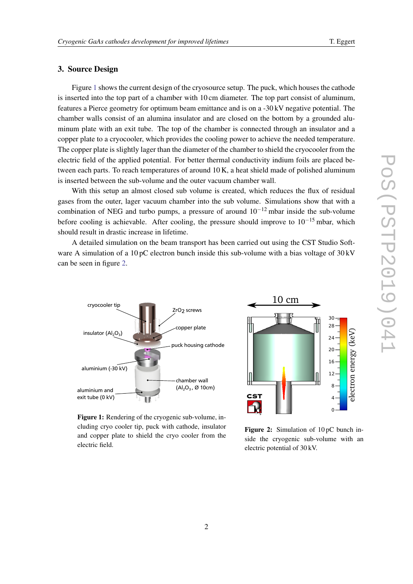## 3. Source Design

Figure 1 shows the current design of the cryosource setup. The puck, which houses the cathode is inserted into the top part of a chamber with 10 cm diameter. The top part consist of aluminum, features a Pierce geometry for optimum beam emittance and is on a -30 kV negative potential. The chamber walls consist of an alumina insulator and are closed on the bottom by a grounded aluminum plate with an exit tube. The top of the chamber is connected through an insulator and a copper plate to a cryocooler, which provides the cooling power to achieve the needed temperature. The copper plate is slightly lager than the diameter of the chamber to shield the cryocooler from the electric field of the applied potential. For better thermal conductivity indium foils are placed between each parts. To reach temperatures of around 10 K, a heat shield made of polished aluminum is inserted between the sub-volume and the outer vacuum chamber wall.

With this setup an almost closed sub volume is created, which reduces the flux of residual gases from the outer, lager vacuum chamber into the sub volume. Simulations show that with a combination of NEG and turbo pumps, a pressure of around  $10^{-12}$  mbar inside the sub-volume before cooling is achievable. After cooling, the pressure should improve to  $10^{-15}$  mbar, which should result in drastic increase in lifetime.

A detailed simulation on the beam transport has been carried out using the CST Studio Software A simulation of a 10 pC electron bunch inside this sub-volume with a bias voltage of  $30 \text{ kV}$ can be seen in figure 2.



Figure 1: Rendering of the cryogenic sub-volume, including cryo cooler tip, puck with cathode, insulator and copper plate to shield the cryo cooler from the electric field.



Figure 2: Simulation of 10 pC bunch inside the cryogenic sub-volume with an electric potential of 30 kV.